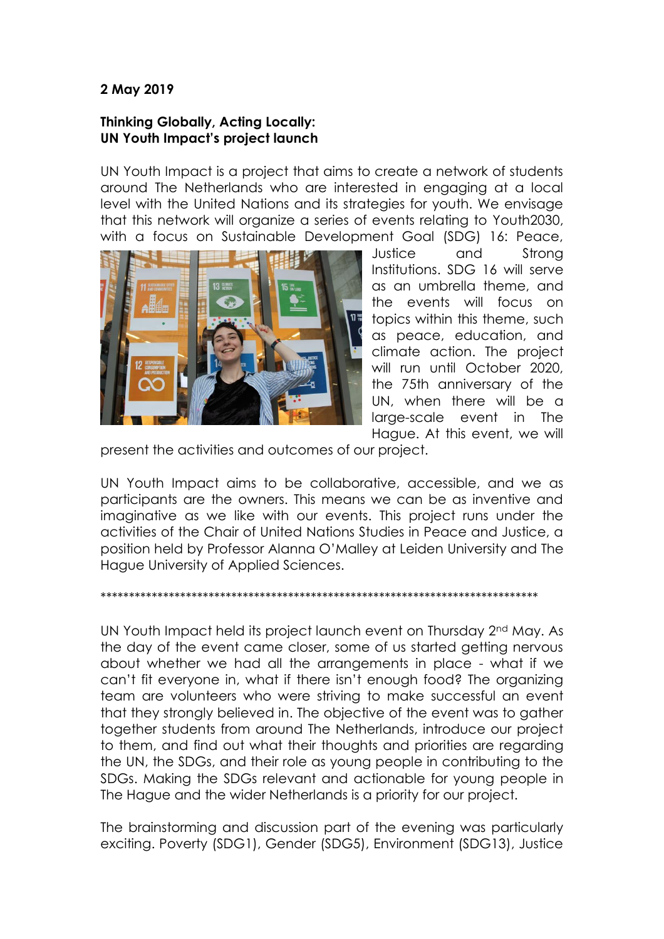## **2 May 2019**

## **Thinking Globally, Acting Locally: UN Youth Impact's project launch**

UN Youth Impact is a project that aims to create a network of students around The Netherlands who are interested in engaging at a local level with the United Nations and its strategies for youth. We envisage that this network will organize a series of events relating to Youth2030, with a focus on Sustainable Development Goal (SDG) 16: Peace,



Justice and Strong Institutions. SDG 16 will serve as an umbrella theme, and the events will focus on topics within this theme, such as peace, education, and climate action. The project will run until October 2020, the 75th anniversary of the UN, when there will be a large-scale event in The Hague. At this event, we will

present the activities and outcomes of our project.

UN Youth Impact aims to be collaborative, accessible, and we as participants are the owners. This means we can be as inventive and imaginative as we like with our events. This project runs under the activities of the Chair of United Nations Studies in Peace and Justice, a position held by Professor Alanna O'Malley at Leiden University and The Hague University of Applied Sciences.

## \*\*\*\*\*\*\*\*\*\*\*\*\*\*\*\*\*\*\*\*\*\*\*\*\*\*\*\*\*\*\*\*\*\*\*\*\*\*\*\*\*\*\*\*\*\*\*\*\*\*\*\*\*\*\*\*\*\*\*\*\*\*\*\*\*\*\*\*\*\*\*\*\*\*\*\*\*

UN Youth Impact held its project launch event on Thursday 2nd May. As the day of the event came closer, some of us started getting nervous about whether we had all the arrangements in place - what if we can't fit everyone in, what if there isn't enough food? The organizing team are volunteers who were striving to make successful an event that they strongly believed in. The objective of the event was to gather together students from around The Netherlands, introduce our project to them, and find out what their thoughts and priorities are regarding the UN, the SDGs, and their role as young people in contributing to the SDGs. Making the SDGs relevant and actionable for young people in The Hague and the wider Netherlands is a priority for our project.

The brainstorming and discussion part of the evening was particularly exciting. Poverty (SDG1), Gender (SDG5), Environment (SDG13), Justice